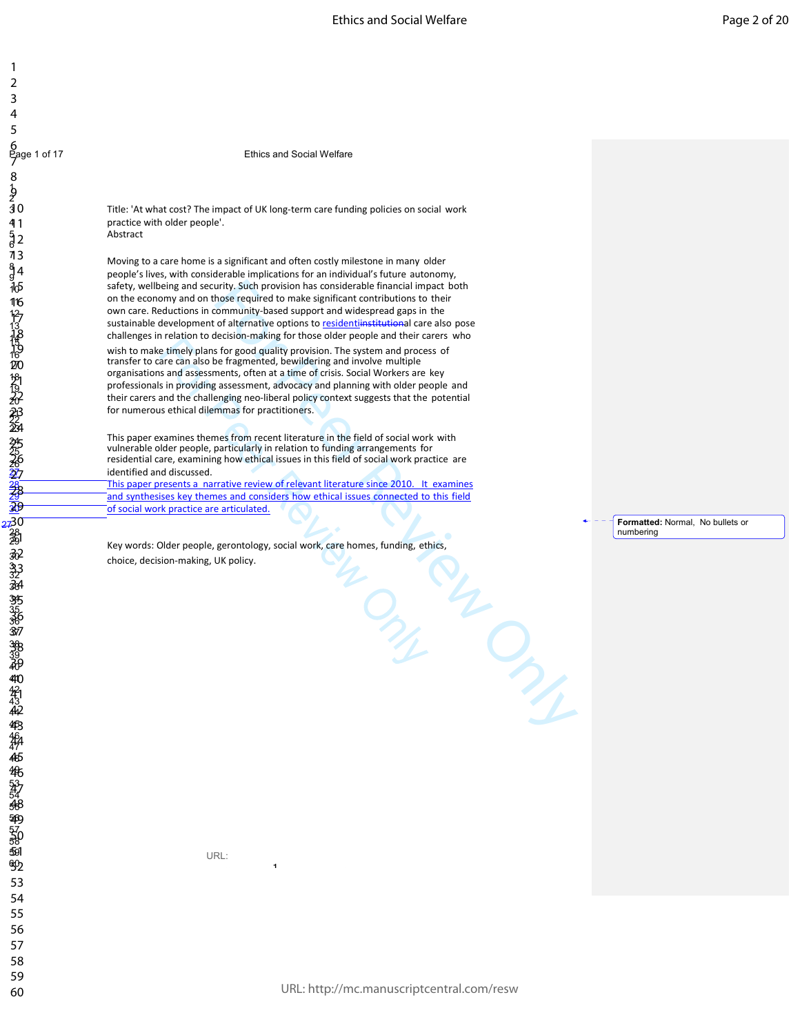6<br>Page 1 of 17 **Ethics and Social Welfare** 

Title: 'At what cost? The impact of UK long-term care funding policies on social work practice with older people'. Abstract

Moving to a care home is a significant and often costly milestone in many older people's lives, with considerable implications for an individual's future autonomy, safety, wellbeing and security. Such provision has considerable financial impact both on the economy and on those required to make significant contributions to their own care. Reductions in community-based support and widespread gaps in the sustainable development of alternative options to residentiinstitutional care also pose challenges in relation to decision-making for those older people and their carers who

wish to make timely plans for good quality provision. The system and process of transfer to care can also be fragmented, bewildering and involve multiple organisations and assessments, often at a time of crisis. Social Workers are key professionals in providing assessment, advocacy and planning with older people and <sup>20</sup>their carers and the challenging neo-liberal policy context suggests that the potential for numerous ethical dilemmas for practitioners.

This paper examines themes from recent literature in the field of social work with vulnerable older people, particularly in relation to funding arrangements for residential care, examining how ethical issues in this field of social work practice are identified and discussed.

This paper presents a narrative review of relevant literature since 2010. It examines and synthesises key themes and considers how ethical issues connected to this field of social work practice are articulated.

Warner Congress Key words: Older people, gerontology, social work, care homes, funding, ethics, choice, decision-making, UK policy.

**Formatted:** Normal, No bullets or numbering

URL:

 $1c$ 

 $\mathbf{1}$  $\overline{2}$ 3  $\overline{4}$ 5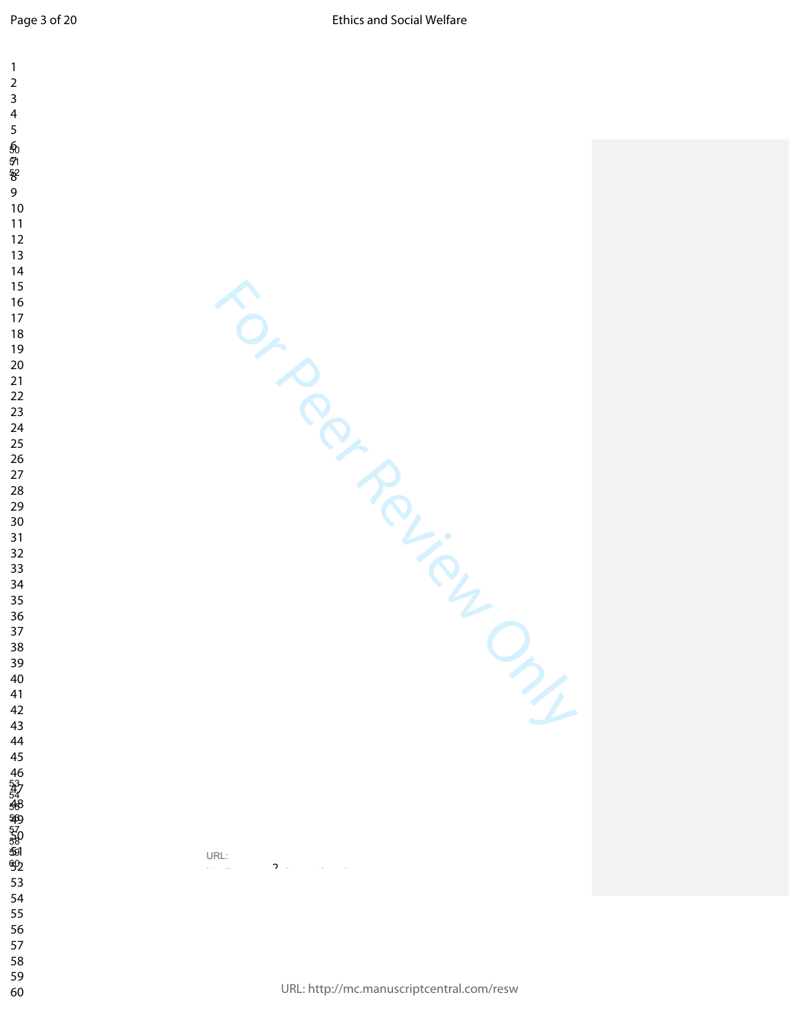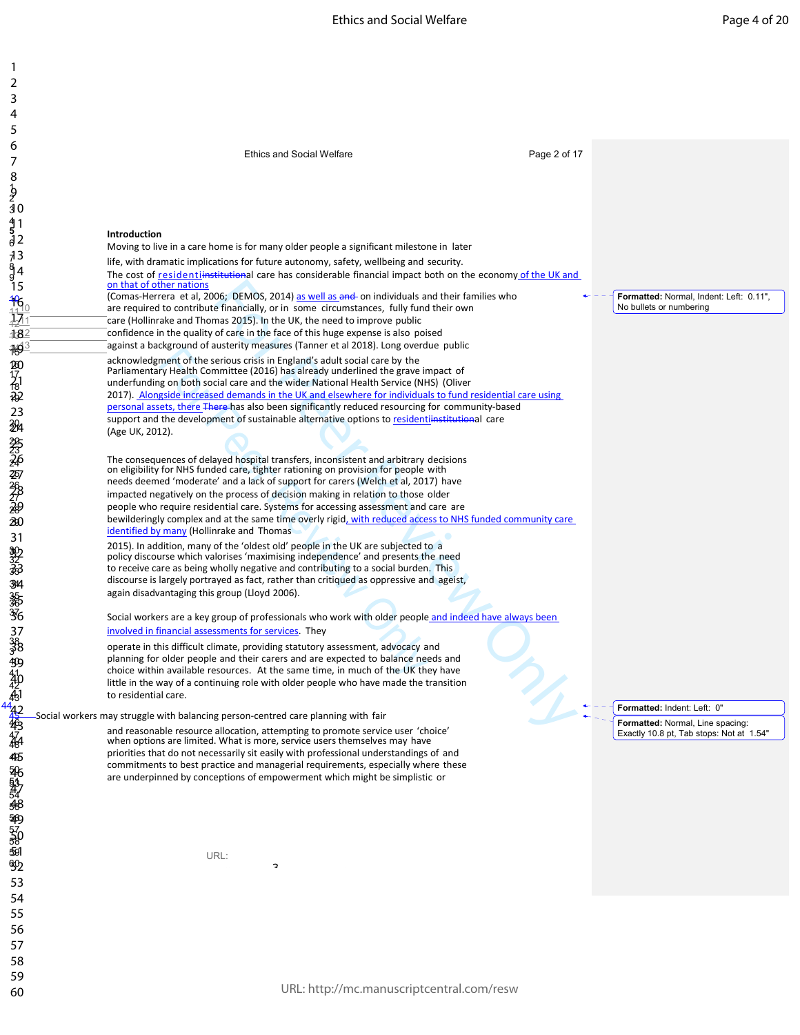| 4<br>5                     |                                                                                                                                                                               |              |                                          |
|----------------------------|-------------------------------------------------------------------------------------------------------------------------------------------------------------------------------|--------------|------------------------------------------|
| 6                          |                                                                                                                                                                               |              |                                          |
| 7                          | <b>Ethics and Social Welfare</b>                                                                                                                                              | Page 2 of 17 |                                          |
| 8                          |                                                                                                                                                                               |              |                                          |
| )<br>2<br>30               |                                                                                                                                                                               |              |                                          |
|                            |                                                                                                                                                                               |              |                                          |
| 41<br>a<br>a<br>a<br>2     | Introduction                                                                                                                                                                  |              |                                          |
|                            | Moving to live in a care home is for many older people a significant milestone in later                                                                                       |              |                                          |
| J3                         | life, with dramatic implications for future autonomy, safety, wellbeing and security.                                                                                         |              |                                          |
| .<br>g4                    | The cost of residenti <del>institution</del> al care has considerable financial impact both on the economy of the UK and<br>on that of other nations                          |              |                                          |
| Ĭ5                         | (Comas-Herrera et al, 2006; DEMOS, 2014) as well as and on individuals and their families who                                                                                 |              | Formatted: Normal, Indent: Left: 0.11",  |
| $\frac{16}{121}$           | are required to contribute financially, or in some circumstances, fully fund their own                                                                                        |              | No bullets or numbering                  |
| 182                        | care (Hollinrake and Thomas 2015). In the UK, the need to improve public<br>confidence in the quality of care in the face of this huge expense is also poised                 |              |                                          |
| 1693                       | against a background of austerity measures (Tanner et al 2018). Long overdue public                                                                                           |              |                                          |
|                            | acknowledgment of the serious crisis in England's adult social care by the                                                                                                    |              |                                          |
|                            | Parliamentary Health Committee (2016) has already underlined the grave impact of<br>underfunding on both social care and the wider National Health Service (NHS) (Oliver      |              |                                          |
|                            | 2017). Alongside increased demands in the UK and elsewhere for individuals to fund residential care using                                                                     |              |                                          |
|                            | personal assets, there There has also been significantly reduced resourcing for community-based                                                                               |              |                                          |
|                            | support and the development of sustainable alternative options to residentinstitutional care<br>(Age UK, 2012).                                                               |              |                                          |
|                            |                                                                                                                                                                               |              |                                          |
|                            | The consequences of delayed hospital transfers, inconsistent and arbitrary decisions                                                                                          |              |                                          |
| 80572223333343452425232330 | on eligibility for NHS funded care, tighter rationing on provision for people with<br>needs deemed 'moderate' and a lack of support for carers (Welch et al, 2017) have       |              |                                          |
|                            | impacted negatively on the process of decision making in relation to those older                                                                                              |              |                                          |
|                            | people who require residential care. Systems for accessing assessment and care are                                                                                            |              |                                          |
|                            | bewilderingly complex and at the same time overly rigid, with reduced access to NHS funded community care<br>identified by many (Hollinrake and Thomas                        |              |                                          |
| 37 勤奋跳荡头 37.398 蚂物         | 2015). In addition, many of the 'oldest old' people in the UK are subjected to a                                                                                              |              |                                          |
|                            | policy discourse which valorises 'maximising independence' and presents the need                                                                                              |              |                                          |
|                            | to receive care as being wholly negative and contributing to a social burden. This<br>discourse is largely portrayed as fact, rather than critiqued as oppressive and ageist, |              |                                          |
|                            | again disadvantaging this group (Lloyd 2006).                                                                                                                                 |              |                                          |
|                            |                                                                                                                                                                               |              |                                          |
|                            | Social workers are a key group of professionals who work with older people and indeed have always been<br>involved in financial assessments for services. They                |              |                                          |
|                            | operate in this difficult climate, providing statutory assessment, advocacy and                                                                                               |              |                                          |
|                            | planning for older people and their carers and are expected to balance needs and                                                                                              |              |                                          |
|                            | choice within available resources. At the same time, in much of the UK they have                                                                                              |              |                                          |
| 431                        | little in the way of a continuing role with older people who have made the transition<br>to residential care.                                                                 |              |                                          |
|                            | -Social workers may struggle with balancing person-centred care planning with fair                                                                                            |              | Formatted: Indent: Left: 0"              |
|                            | and reasonable resource allocation, attempting to promote service user 'choice'                                                                                               |              | Formatted: Normal, Line spacing:         |
|                            | when options are limited. What is more, service users themselves may have                                                                                                     |              | Exactly 10.8 pt, Tab stops: Not at 1.54" |
|                            | priorities that do not necessarily sit easily with professional understandings of and<br>commitments to best practice and managerial requirements, especially where these     |              |                                          |
|                            | are underpinned by conceptions of empowerment which might be simplistic or                                                                                                    |              |                                          |
|                            |                                                                                                                                                                               |              |                                          |
|                            |                                                                                                                                                                               |              |                                          |
|                            |                                                                                                                                                                               |              |                                          |
|                            |                                                                                                                                                                               |              |                                          |
| 经按好供书纸牌经报的预知               | URL:<br>C                                                                                                                                                                     |              |                                          |
| 53                         |                                                                                                                                                                               |              |                                          |
| 54                         |                                                                                                                                                                               |              |                                          |
| 55                         |                                                                                                                                                                               |              |                                          |
| 56                         |                                                                                                                                                                               |              |                                          |
| 57                         |                                                                                                                                                                               |              |                                          |
| 58                         |                                                                                                                                                                               |              |                                          |

44

123456789

 $\mathbf{1}$  $\overline{2}$  $\mathsf{3}$  $\overline{4}$ 5  $\boldsymbol{6}$  $\overline{7}$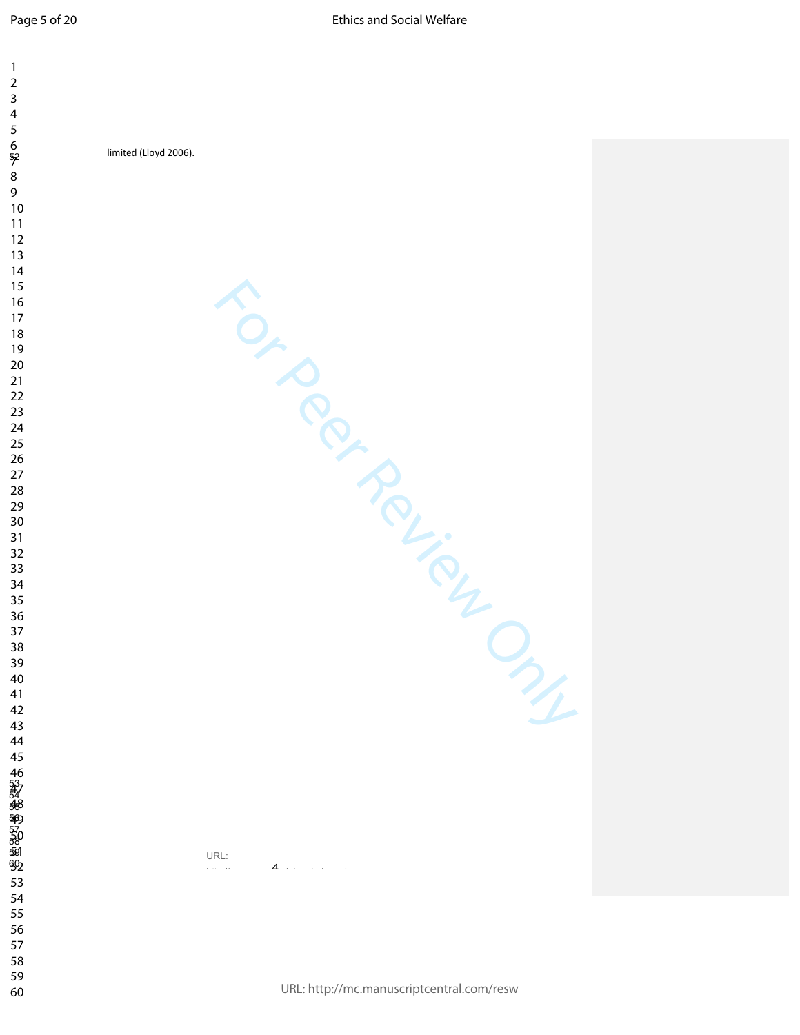URL: http://mc.manuscriptcentral.com/resw

For Perince Manuscript

URL:

 $\overline{A}$ criptcentral.com/respectively.com/respectively.com/respectively.com/respectively.com/respectively.com/respectively.com/respectively.com/respectively.com/respectively.com/respectively.com/respectively.com/respectiv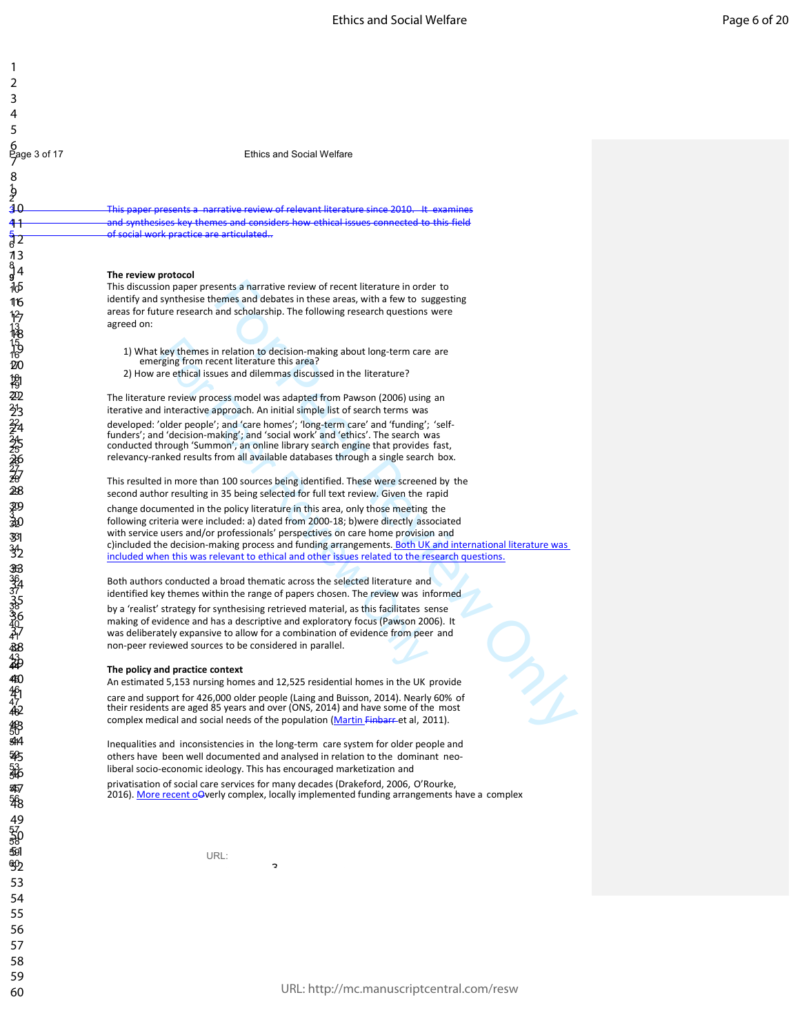# 6<br>Page 3 of 17 **Ethics and Social Welfare**

2 3 This paper presents a narrative review of relevant literature since 2010. It examines 41 **and synthesises key themes and considers how ethical issues connected to this field** ial work practice are articulated

#### **9 The review protocol**

This discussion paper presents a narrative review of recent literature in order to identify and synthesise themes and debates in these areas, with a few to suggesting areas for future research and scholarship. The following research questions were agreed on:

1) What key themes in relation to decision-making about long-term care are emerging from recent literature this area?

2) How are ethical issues and dilemmas discussed in the literature?

The literature review process model was adapted from Pawson (2006) using an iterative and interactive approach. An initial simple list of search terms was developed: 'older people'; and 'care homes'; 'long-term care' and 'funding'; 'selffunders'; and 'decision-making'; and 'social work' and 'ethics'. The search was conducted through 'Summon', an online library search engine that provides fast, relevancy-ranked results from all available databases through a single search box.

sents a narrative review of recent literature in order to<br>ents a narrative review of recent as twith a few to suggesting<br>and scholarship. The following research questions were<br>relitterature this area?<br>The filterature this This resulted in more than 100 sources being identified. These were screened by the second author resulting in 35 being selected for full text review. Given the rapid change documented in the policy literature in this area, only those meeting the following criteria were included: a) dated from 2000-18; b)were directly associated with service users and/or professionals' perspectives on care home provision and c)included the decision-making process and funding arrangements. Both UK and international literature was included when this was relevant to ethical and other issues related to the research questions.

Both authors conducted a broad thematic across the selected literature and identified key themes within the range of papers chosen. The review was informed

by a 'realist' strategy for synthesising retrieved material, as this facilitates sense making of evidence and has a descriptive and exploratory focus (Pawson 2006). It was deliberately expansive to allow for a combination of evidence from peer and non-peer reviewed sources to be considered in parallel.

#### **<sup>44</sup>The policy and practice context**

An estimated 5,153 nursing homes and 12,525 residential homes in the UK provide 47 care and support for 426,000 older people (Laing and Buisson, 2014). Nearly 60% of<br>42 their residents are aged 85 years and over (ONS, 2014) and have some of the most complex medical and social needs of the population (Martin Finbarr et al, 2011).

> Inequalities and inconsistencies in the long-term care system for older people and others have been well documented and analysed in relation to the dominant neoliberal socio-economic ideology. This has encouraged marketization and

privatisation of social care services for many decades (Drakeford, 2006, O'Rourke, 2016). More recent oOverly complex, locally implemented funding arrangements have a complex

 $\overline{c}$ 

URL:

8<br>2<br>2

1234562789

 $\mathbf{1}$  $\overline{2}$ 3  $\overline{4}$ 5

 $\frac{1}{6}$ 7 13 ရှိ 4

10  $4<sub>1</sub>$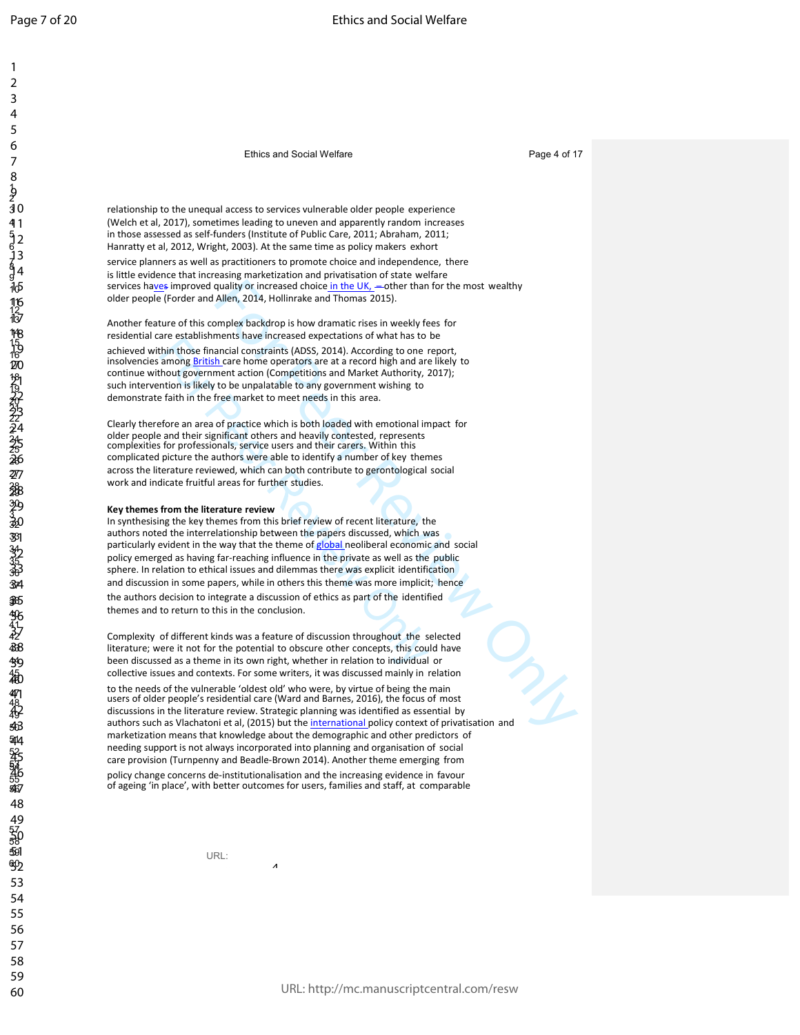60

Ethics and Social Welfare **Page 4 of 17** Page 4 of 17

relationship to the unequal access to services vulnerable older people experience (Welch et al, 2017), sometimes leading to uneven and apparently random increases in those assessed as self-funders (Institute of Public Care, 2011; Abraham, 2011; Hanratty et al, 2012, Wright, 2003). At the same time as policy makers exhort

service planners as well as practitioners to promote choice and independence, there is little evidence that increasing marketization and privatisation of state welfare services haves improved quality or increased choice in the UK, - other than for the most wealthy older people (Forder and Allen, 2014, Hollinrake and Thomas 2015).

Another feature of this complex backdrop is how dramatic rises in weekly fees for residential care establishments have increased expectations of what has to be

achieved within those financial constraints (ADSS, 2014). According to one report, insolvencies among **British** care home operators are at a record high and are likely to continue without government action (Competitions and Market Authority, 2017); such intervention is likely to be unpalatable to any government wishing to demonstrate faith in the free market to meet needs in this area.

Clearly therefore an area of practice which is both loaded with emotional impact for older people and their significant others and heavily contested, represents complexities for professionals, service users and their carers. Within this complicated picture the authors were able to identify a number of key themes across the literature reviewed, which can both contribute to gerontological social work and indicate fruitful areas for further studies.

### <sup>30</sup>**Key themes from the literature review**

quality or increased choice in the UK, —other than for the most wealthy<br>Allen, 2014, Hollinrake and Thomas 2015).<br>
Implex backdorp is how dramatic rises in weekly fees for<br>
ments have increased expectations of what has to In synthesising the key themes from this brief review of recent literature, the authors noted the interrelationship between the papers discussed, which was particularly evident in the way that the theme of global neoliberal economic and social policy emerged as having far-reaching influence in the private as well as the public sphere. In relation to ethical issues and dilemmas there was explicit identification and discussion in some papers, while in others this theme was more implicit; hence the authors decision to integrate a discussion of ethics as part of the identified themes and to return to this in the conclusion.

Complexity of different kinds was a feature of discussion throughout the selected literature; were it not for the potential to obscure other concepts, this could have been discussed as a theme in its own right, whether in relation to individual or 45 collective issues and contexts. For some writers, it was discussed mainly in relation

to the needs of the vulnerable 'oldest old' who were, by virtue of being the main users of older people's residential care (Ward and Barnes, 2016), the focus of most discussions in the literature review. Strategic planning was identified as essential by authors such as Vlachatoni et al, (2015) but the international policy context of privatisation and marketization means that knowledge about the demographic and other predictors of needing support is not always incorporated into planning and organisation of social care provision (Turnpenny and Beadle-Brown 2014). Another theme emerging from

 $\overline{A}$ criptcentral.com/respectively.com/respectively.com/respectively.com/respectively.com/respectively.com/respectively.com/respectively.com/respectively.com/respectively.com/respectively.com/respectively.com/respectiv

policy change concerns de-institutionalisation and the increasing evidence in favour of ageing 'in place', with better outcomes for users, families and staff, at comparable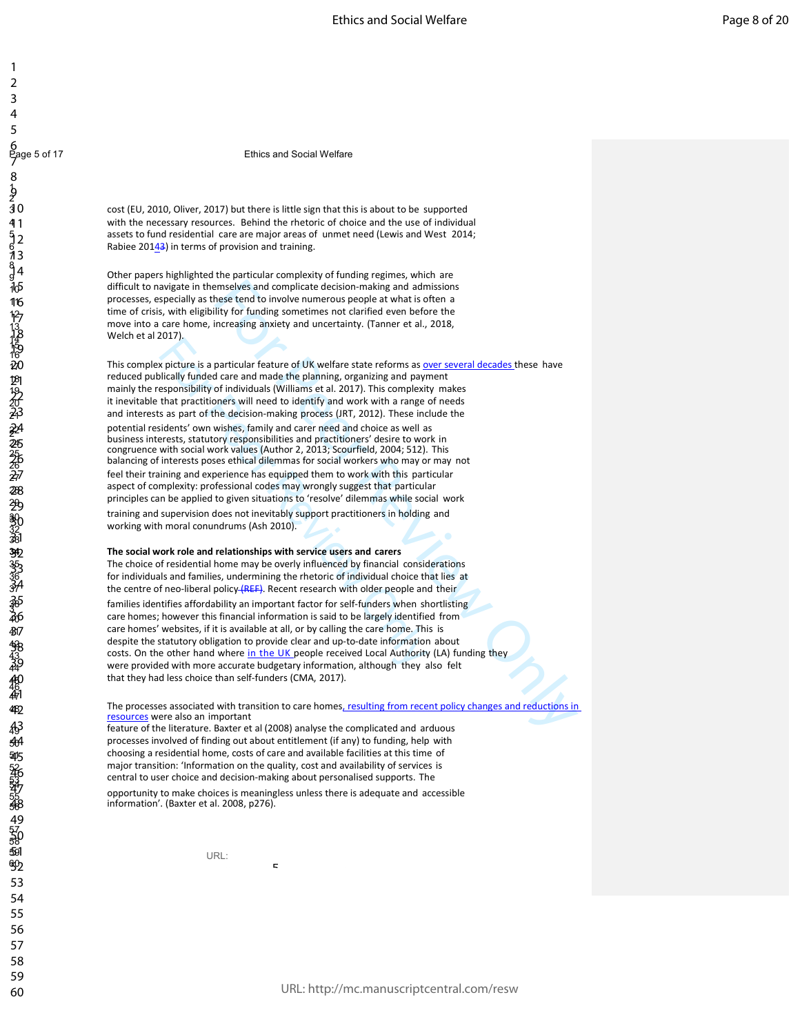6<br>Page 5 of 17 **Ethics and Social Welfare**<br>
2

cost (EU, 2010, Oliver, 2017) but there is little sign that this is about to be supported with the necessary resources. Behind the rhetoric of choice and the use of individual assets to fund residential care are major areas of unmet need (Lewis and West 2014; Rabiee 201 $\frac{43}{5}$  in terms of provision and training.

Other papers highlighted the particular complexity of funding regimes, which are difficult to navigate in themselves and complicate decision-making and admissions processes, especially as these tend to involve numerous people at what is often a time of crisis, with eligibility for funding sometimes not clarified even before the move into a care home, increasing anxiety and uncertainty. (Tanner et al., 2018, Welch et al 2017).

emestives and complicate decision-making and administions<br>
emestives and convolve numerous people at what is often a<br>
lity for funding sometimes not clarified even before the<br>
lity for funding sometimes not clarified even This complex picture is a particular feature of UK welfare state reforms as over several decades these have 18 reduced publically funded care and made the planning, organizing and payment mainly the responsibility of individuals (Williams et al. 2017). This complexity makes it inevitable that practitioners will need to identify and work with a range of needs and interests as part of the decision-making process (JRT, 2012). These include the potential residents' own wishes, family and carer need and choice as well as business interests, statutory responsibilities and practitioners' desire to work in <sup>25</sup>congruence with social work values (Author 2, 2013; Scourfield, 2004; 512). This balancing of interests poses ethical dilemmas for social workers who may or may not feel their training and experience has equipped them to work with this particular aspect of complexity: professional codes may wrongly suggest that particular principles can be applied to given situations to 'resolve' dilemmas while social work training and supervision does not inevitably support practitioners in holding and working with moral conundrums (Ash 2010).

# **34 The social work role and relationships with service users and carers**

The choice of residential home may be overly influenced by financial considerations for individuals and families, undermining the rhetoric of individual choice that lies at the centre of neo-liberal policy (REF). Recent research with older people and their families identifies affordability an important factor for self-funders when shortlisting care homes; however this financial information is said to be largely identified from 41 care homes' websites, if it is available at all, or by calling the care home. This is despite the statutory obligation to provide clear and up-to-date information about costs. On the other hand where in the UK people received Local Authority (LA) funding they were provided with more accurate budgetary information, although they also felt that they had less choice than self-funders (CMA, 2017).

The processes associated with transition to care homes, resulting from recent policy changes and reductions in resources were also an important

feature of the literature. Baxter et al (2008) analyse the complicated and arduous processes involved of finding out about entitlement (if any) to funding, help with choosing a residential home, costs of care and available facilities at this time of major transition: 'Information on the quality, cost and availability of services is central to user choice and decision-making about personalised supports. The

<sup>55</sup>opportunity to make choices is meaningless unless there is adequate and accessible information'. (Baxter et al. 2008, p276).

5criptcentral.com/resw

URL:

1  $\overline{2}$ 3

60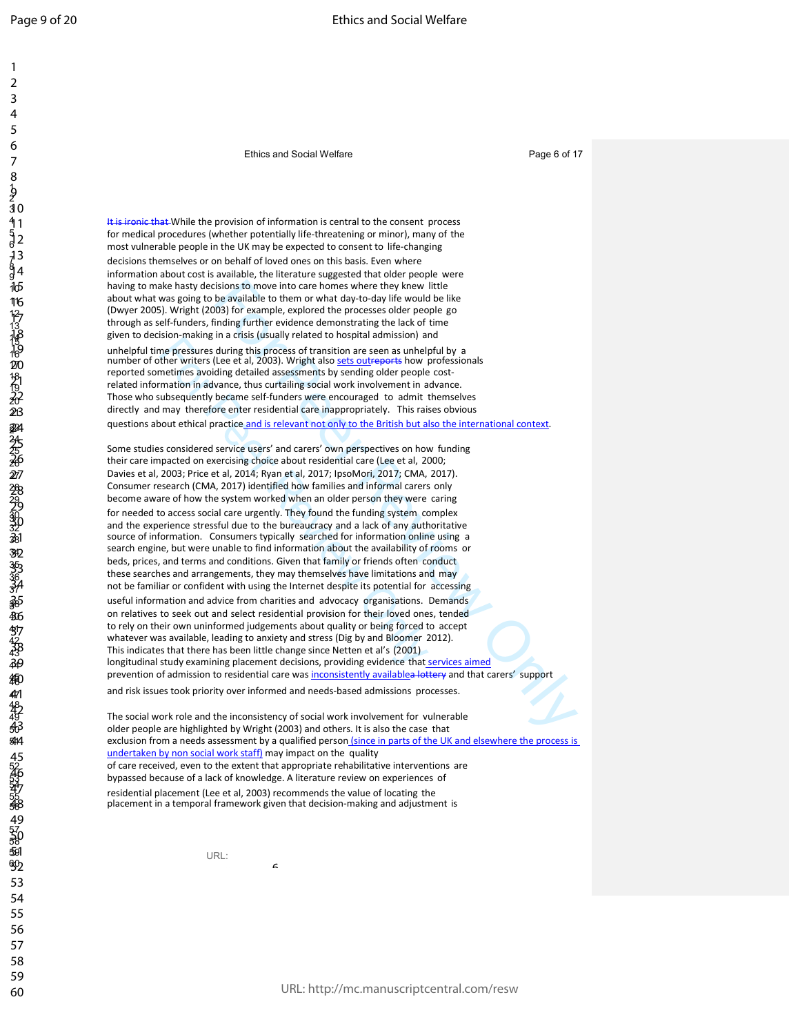60

### Ethics and Social Welfare **Page 6 of 17** Page 6 of 17

isions to move into care homes where they knew little like<br>the available to them or what day-to-day life would be like<br>03) for example, explored the processes older people go<br>03) for example, explored the processes older p It is ironic that While the provision of information is central to the consent process for medical procedures (whether potentially life-threatening or minor), many of the most vulnerable people in the UK may be expected to consent to life-changing decisions themselves or on behalf of loved ones on this basis. Even where information about cost is available, the literature suggested that older people were having to make hasty decisions to move into care homes where they knew little about what was going to be available to them or what day-to-day life would be like (Dwyer 2005). Wright (2003) for example, explored the processes older people go through as self-funders, finding further evidence demonstrating the lack of time given to decision-making in a crisis (usually related to hospital admission) and unhelpful time pressures during this process of transition are seen as unhelpful by a number of other writers (Lee et al, 2003). Wright also sets outreports how professionals reported sometimes avoiding detailed assessments by sending older people costrelated information in advance, thus curtailing social work involvement in advance. Those who subsequently became self-funders were encouraged to admit themselves directly and may therefore enter residential care inappropriately. This raises obvious questions about ethical practice and is relevant not only to the British but also the international context.

25 Some studies considered service users' and carers' own perspectives on how funding 26 their care impacted on exercising choice about residential care (Lee et al, 2000; 27 Davies et al, 2003; Price et al, 2014; Ryan et al, 2017; IpsoMori, 2017; CMA, 2017). Consumer research (CMA, 2017) identified how families and informal carers only become aware of how the system worked when an older person they were caring for needed to access social care urgently. They found the funding system complex and the experience stressful due to the bureaucracy and a lack of any authoritative source of information. Consumers typically searched for information online using a search engine, but were unable to find information about the availability of rooms or beds, prices, and terms and conditions. Given that family or friends often conduct these searches and arrangements, they may themselves have limitations and may not be familiar or confident with using the Internet despite its potential for accessing

useful information and advice from charities and advocacy organisations. Demands 40 on relatives to seek out and select residential provision for their loved ones, tended 41 to rely on their own uninformed judgements about quality or being forced to accept whatever was available, leading to anxiety and stress (Dig by and Bloomer 2012). This indicates that there has been little change since Netten et al's (2001) longitudinal study examining placement decisions, providing evidence that services aimed prevention of admission to residential care was inconsistently availablea lottery and that carers' support

and risk issues took priority over informed and needs-based admissions processes.

The social work role and the inconsistency of social work involvement for vulnerable older people are highlighted by Wright (2003) and others. It is also the case that exclusion from a needs assessment by a qualified person (since in parts of the UK and elsewhere the process is undertaken by non social work staff) may impact on the quality of care received, even to the extent that appropriate rehabilitative interventions are bypassed because of a lack of knowledge. A literature review on experiences of residential placement (Lee et al, 2003) recommends the value of locating the placement in a temporal framework given that decision-making and adjustment is

 $\epsilon$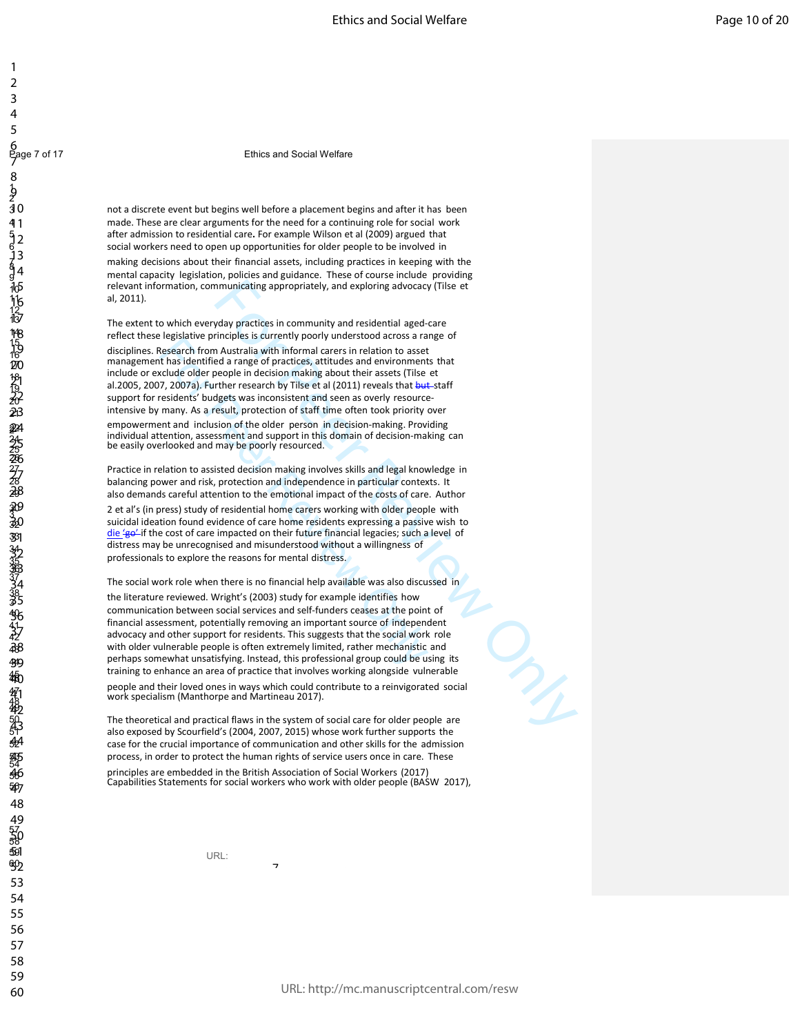6<br>Page 7 of 17 **Ethics and Social Welfare** 

not a discrete event but begins well before a placement begins and after it has been made. These are clear arguments for the need for a continuing role for social work 5 after admission to residential care**.** For example Wilson et al (2009) argued that social workers need to open up opportunities for older people to be involved in making decisions about their financial assets, including practices in keeping with the mental capacity legislation, policies and guidance. These of course include providing relevant information, communicating appropriately, and exploring advocacy (Tilse et

The extent to which everyday practices in community and residential aged-care reflect these legislative principles is currently poorly understood across a range of

municating appropriately, and exploring advocacy (Tilse et<br>
yday practices in community and residential aged-care<br>
rinciples is currently poorly understood across a range of<br>
rinciples is currently poorly understood across disciplines. Research from Australia with informal carers in relation to asset management has identified a range of practices, attitudes and environments that include or exclude older people in decision making about their assets (Tilse et al.2005, 2007, 2007a). Further research by Tilse et al (2011) reveals that but staff support for residents' budgets was inconsistent and seen as overly resourceintensive by many. As a result, protection of staff time often took priority over empowerment and inclusion of the older person in decision-making. Providing individual attention, assessment and support in this domain of decision-making can be easily overlooked and may be poorly resourced.

Practice in relation to assisted decision making involves skills and legal knowledge in balancing power and risk, protection and independence in particular contexts. It also demands careful attention to the emotional impact of the costs of care. Author

2 et al's (in press) study of residential home carers working with older people with suicidal ideation found evidence of care home residents expressing a passive wish to die 'go' if the cost of care impacted on their future financial legacies; such a level of distress may be unrecognised and misunderstood without a willingness of professionals to explore the reasons for mental distress.

The social work role when there is no financial help available was also discussed in

the literature reviewed. Wright's (2003) study for example identifies how communication between social services and self-funders ceases at the point of financial assessment, potentially removing an important source of independent advocacy and other support for residents. This suggests that the social work role with older vulnerable people is often extremely limited, rather mechanistic and perhaps somewhat unsatisfying. Instead, this professional group could be using its training to enhance an area of practice that involves working alongside vulnerable

<sup>47</sup>people and their loved ones in ways which could contribute to a reinvigorated social work specialism (Manthorpe and Martineau 2017).

The theoretical and practical flaws in the system of social care for older people are also exposed by Scourfield's (2004, 2007, 2015) whose work further supports the case for the crucial importance of communication and other skills for the admission process, in order to protect the human rights of service users once in care. These principles are embedded in the British Association of Social Workers (2017) Capabilities Statements for social workers who work with older people (BASW 2017),

 $7c$ 

URL:

 $\mathbf{h}$ ร<br>30

123456P789

1  $\overline{2}$ 3  $\overline{4}$ 5

12

15

26

al. 2011).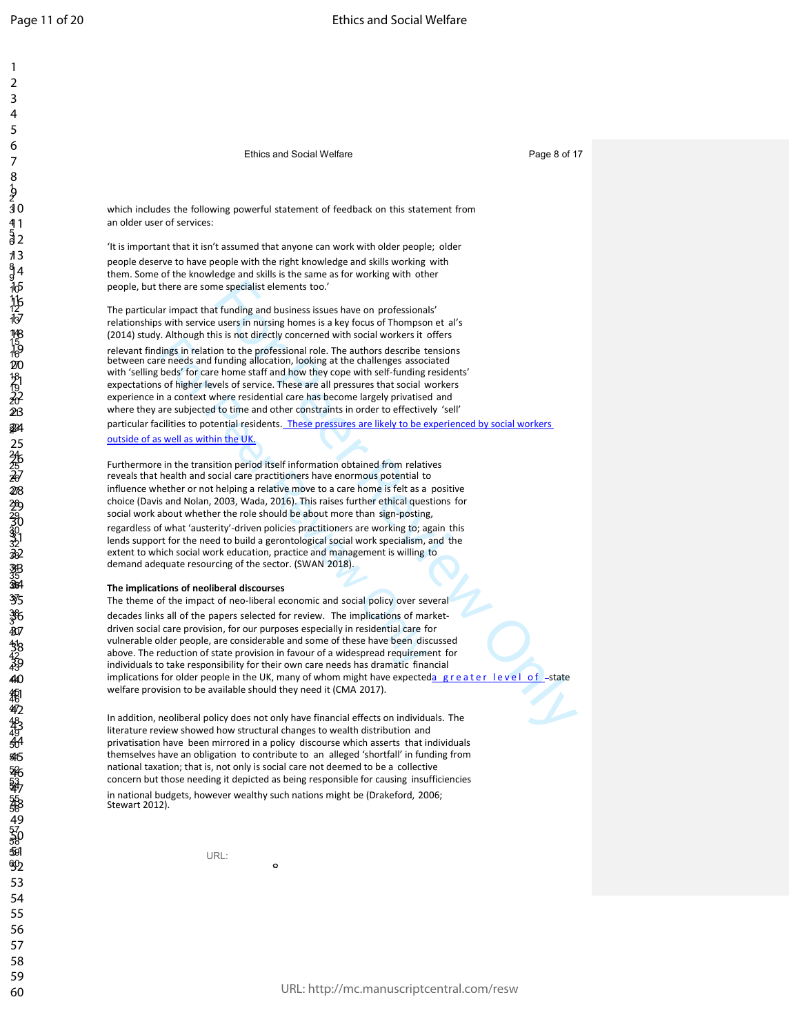1  $\overline{2}$ 

60

Ethics and Social Welfare **Page 8 of 17** Page 8 of 17

which includes the following powerful statement of feedback on this statement from an older user of services:

'It is important that it isn't assumed that anyone can work with older people; older people deserve to have people with the right knowledge and skills working with them. Some of the knowledge and skills is the same as for working with other people, but there are some specialist elements too.'

The particular impact that funding and business issues have on professionals' relationships with service users in nursing homes is a key focus of Thompson et al's (2014) study. Although this is not directly concerned with social workers it offers

relevant findings in relation to the professional role. The authors describe tensions between care needs and funding allocation, looking at the challenges associated with 'selling beds' for care home staff and how they cope with self-funding residents' expectations of higher levels of service. These are all pressures that social workers experience in a context where residential care has become largely privatised and where they are subjected to time and other constraints in order to effectively 'sell' particular facilities to potential residents. These pressures are likely to be experienced by social workers

## outside of as well as within the UK.

Furthermore in the transition period itself information obtained from relatives reveals that health and social care practitioners have enormous potential to influence whether or not helping a relative move to a care home is felt as a positive choice (Davis and Nolan, 2003, Wada, 2016). This raises further ethical questions for social work about whether the role should be about more than sign-posting,

regardless of what 'austerity'-driven policies practitioners are working to; again this lends support for the need to build a gerontological social work specialism, and the extent to which social work education, practice and management is willing to demand adequate resourcing of the sector. (SWAN 2018).

### **<sup>36</sup>The implications of neoliberal discourses**

ne specialist elements too.'<br>
It funding and business issues have on professionals'<br>
sis is not directly concerned with social workers it offers<br>
is is is not directly concerned with social workers it offers<br>
is is is not The theme of the impact of neo-liberal economic and social policy over several decades links all of the papers selected for review. The implications of marketdriven social care provision, for our purposes especially in residential care for vulnerable older people, are considerable and some of these have been discussed above. The reduction of state provision in favour of a widespread requirement for individuals to take responsibility for their own care needs has dramatic financial implications for older people in the UK, many of whom might have expecteda  $g$  reater level of -state welfare provision to be available should they need it (CMA 2017).

In addition, neoliberal policy does not only have financial effects on individuals. The literature review showed how structural changes to wealth distribution and privatisation have been mirrored in a policy discourse which asserts that individuals themselves have an obligation to contribute to an alleged 'shortfall' in funding from national taxation; that is, not only is social care not deemed to be a collective 53 concern but those needing it depicted as being responsible for causing insufficiencies in national budgets, however wealthy such nations might be (Drakeford, 2006; Stewart 2012).

8criptcentral.com/resw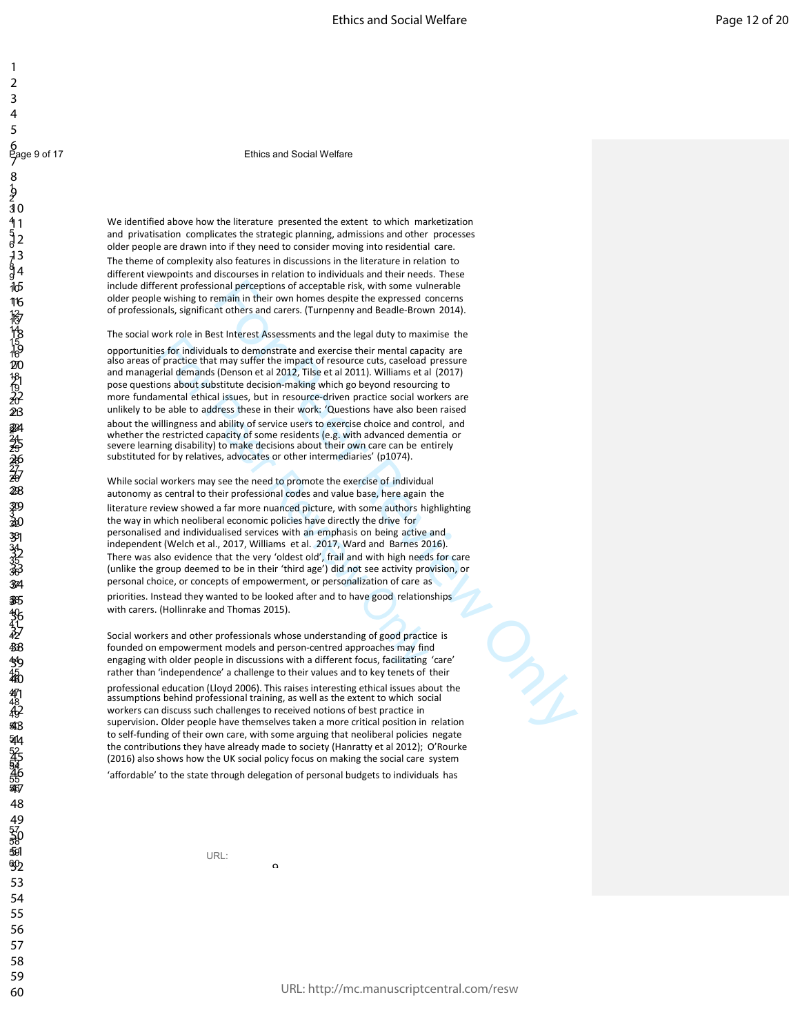6<br>Page 9 of 17 **Ethics and Social Welfare**<br>
2

We identified above how the literature presented the extent to which marketization and privatisation complicates the strategic planning, admissions and other processes older people are drawn into if they need to consider moving into residential care. 7 The theme of complexity also features in discussions in the literature in relation to different viewpoints and discourses in relation to individuals and their needs. These include different professional perceptions of acceptable risk, with some vulnerable older people wishing to remain in their own homes despite the expressed concerns of professionals, significant others and carers. (Turnpenny and Beadle-Brown 2014).

The social work role in Best Interest Assessments and the legal duty to maximise the

opportunities for individuals to demonstrate and exercise their mental capacity are also areas of practice that may suffer the impact of resource cuts, caseload pressure and managerial demands (Denson et al 2012, Tilse et al 2011). Williams et al (2017) pose questions about substitute decision-making which go beyond resourcing to more fundamental ethical issues, but in resource-driven practice social workers are unlikely to be able to address these in their work: 'Questions have also been raised about the willingness and ability of service users to exercise choice and control, and whether the restricted capacity of some residents (e.g. with advanced dementia or severe learning disability) to make decisions about their own care can be entirely substituted for by relatives, advocates or other intermediaries' (p1074).

onal perceptions of accestable risk, with some vulnerable<br>onal perceptions of accestable risk, with some vulnerable readers and the steps of energy and Beadle-Brown 2014).<br>St Interest Assessments and the legal duty to maxi While social workers may see the need to promote the exercise of individual autonomy as central to their professional codes and value base, here again the literature review showed a far more nuanced picture, with some authors highlighting the way in which neoliberal economic policies have directly the drive for personalised and individualised services with an emphasis on being active and independent (Welch et al., 2017, Williams et al. 2017, Ward and Barnes 2016). There was also evidence that the very 'oldest old', frail and with high needs for care (unlike the group deemed to be in their 'third age') did not see activity provision, or personal choice, or concepts of empowerment, or personalization of care as priorities. Instead they wanted to be looked after and to have good relationships with carers. (Hollinrake and Thomas 2015).

Social workers and other professionals whose understanding of good practice is founded on empowerment models and person-centred approaches may find engaging with older people in discussions with a different focus, facilitating 'care' rather than 'independence' a challenge to their values and to key tenets of their professional education (Lloyd 2006). This raises interesting ethical issues about the assumptions behind professional training, as well as the extent to which social workers can discuss such challenges to received notions of best practice in <sup>50</sup>supervision**.** Older people have themselves taken a more critical position in relation to self-funding of their own care, with some arguing that neoliberal policies negate the contributions they have already made to society (Hanratty et al 2012); O'Rourke (2016) also shows how the UK social policy focus on making the social care system

'affordable' to the state through delegation of personal budgets to individuals has

9criptcentral.com/resw

URL:

1  $\overline{2}$ 3  $\overline{4}$ 5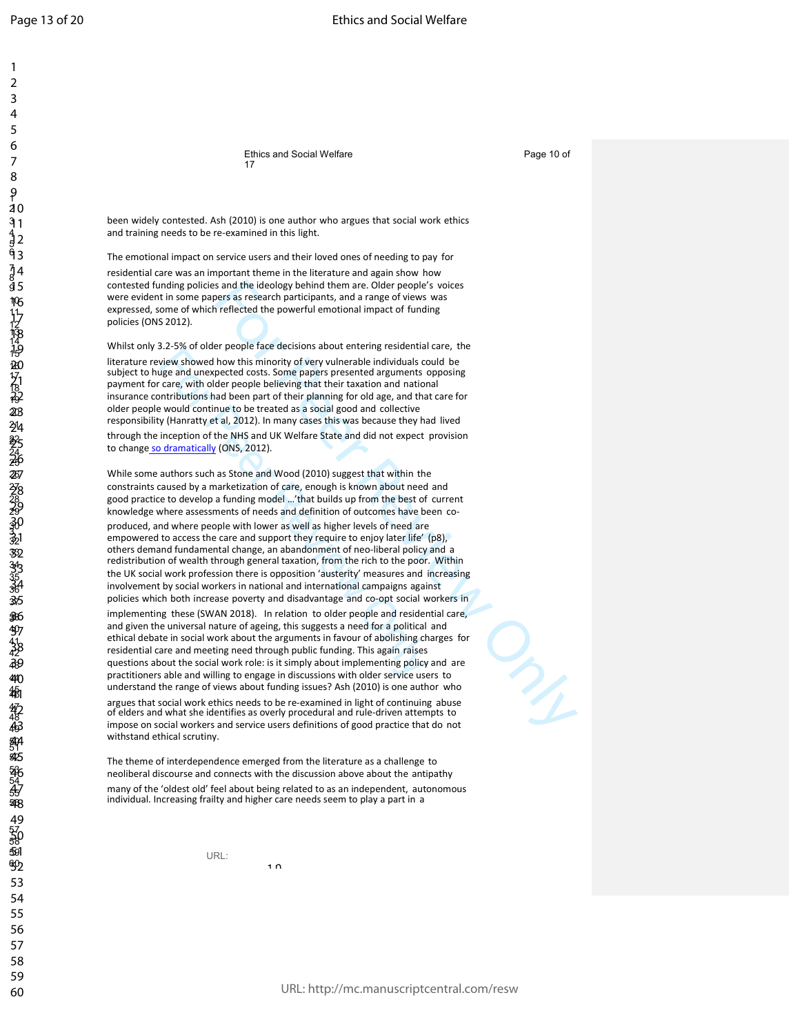123456789

วิ 2

 $31$ 

13

Ethics and Social Welfare **Page 10 of** Page 10 of 17

been widely contested. Ash (2010) is one author who argues that social work ethics and training needs to be re-examined in this light.

The emotional impact on service users and their loved ones of needing to pay for

residential care was an important theme in the literature and again show how contested funding policies and the ideology behind them are. Older people's voices were evident in some papers as research participants, and a range of views was expressed, some of which reflected the powerful emotional impact of funding policies (ONS 2012).

Whilst only 3.2-5% of older people face decisions about entering residential care, the

literature review showed how this minority of very vulnerable individuals could be subject to huge and unexpected costs. Some papers presented arguments opposing payment for care, with older people believing that their taxation and national insurance contributions had been part of their planning for old age, and that care for older people would continue to be treated as a social good and collective <sup>21</sup>responsibility (Hanratty et al, 2012). In many cases this was because they had lived through the inception of the NHS and UK Welfare State and did not expect provision to change so dramatically (ONS, 2012).

is and the ideology behind them are. Older people's voices are orsa is research participants, and a range of views was<br>reflected the powerful emotional impact of funding<br>represents as research participants, and a range of While some authors such as Stone and Wood (2010) suggest that within the constraints caused by a marketization of care, enough is known about need and 28 good practice to develop a funding model …'that builds up from the best of current knowledge where assessments of needs and definition of outcomes have been coproduced, and where people with lower as well as higher levels of need are empowered to access the care and support they require to enjoy later life' (p8), others demand fundamental change, an abandonment of neo-liberal policy and a redistribution of wealth through general taxation, from the rich to the poor. Within the UK social work profession there is opposition 'austerity' measures and increasing involvement by social workers in national and international campaigns against policies which both increase poverty and disadvantage and co-opt social workers in implementing these (SWAN 2018). In relation to older people and residential care, and given the universal nature of ageing, this suggests a need for a political and ethical debate in social work about the arguments in favour of abolishing charges for residential care and meeting need through public funding. This again raises questions about the social work role: is it simply about implementing policy and are practitioners able and willing to engage in discussions with older service users to understand the range of views about funding issues? Ash (2010) is one author who argues that social work ethics needs to be re-examined in light of continuing abuse of elders and what she identifies as overly procedural and rule-driven attempts to impose on social workers and service users definitions of good practice that do not withstand ethical scrutiny.

The theme of interdependence emerged from the literature as a challenge to neoliberal discourse and connects with the discussion above about the antipathy

 $\overline{1}$   $\overline{0}$ 

many of the 'oldest old' feel about being related to as an independent, autonomous individual. Increasing frailty and higher care needs seem to play a part in a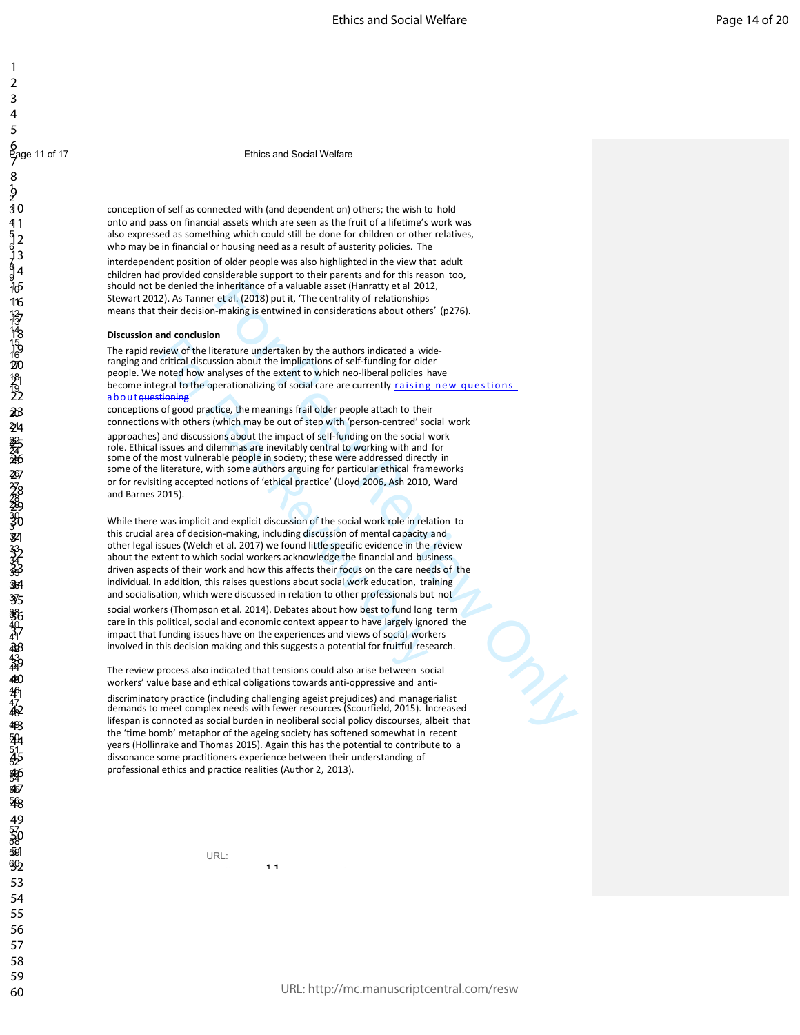123456P789

 $\mathbf{h}$ ร<br>30

6<br>Page 11 of 17 **Ethics and Social Welfare** 

conception of self as connected with (and dependent on) others; the wish to hold 4 onto and pass on financial assets which are seen as the fruit of a lifetime's work was also expressed as something which could still be done for children or other relatives, who may be in financial or housing need as a result of austerity policies. The

interdependent position of older people was also highlighted in the view that adult children had provided considerable support to their parents and for this reason too, should not be denied the inheritance of a valuable asset (Hanratty et al 2012, Stewart 2012). As Tanner et al. (2018) put it, 'The centrality of relationships means that their decision-making is entwined in considerations about others' (p276).

### <sup>14</sup>**Discussion and conclusion**

The rapid review of the literature undertaken by the authors indicated a wideranging and critical discussion about the implications of self-funding for older people. We noted how analyses of the extent to which neo-liberal policies have become integral to the operationalizing of social care are currently raising new questions a b o u t auestio

conceptions of good practice, the meanings frail older people attach to their connections with others (which may be out of step with 'person-centred' social work approaches) and discussions about the impact of self-funding on the social work role. Ethical issues and dilemmas are inevitably central to working with and for some of the most vulnerable people in society; these were addressed directly in some of the literature, with some authors arguing for particular ethical frameworks

or for revisiting accepted notions of 'ethical practice' (Lloyd 2006, Ash 2010, Ward and Barnes 2015).

inheritance of a valuable asset (Hamarty et al 2012,<br>
et al. (2018) put it, "The centrality of relationships<br>
et al. (2018) put it, "The centrality of relationships<br>
making is entwined in considerations about others' (p276 While there was implicit and explicit discussion of the social work role in relation to this crucial area of decision-making, including discussion of mental capacity and other legal issues (Welch et al. 2017) we found little specific evidence in the review about the extent to which social workers acknowledge the financial and business driven aspects of their work and how this affects their focus on the care needs of the individual. In addition, this raises questions about social work education, training and socialisation, which were discussed in relation to other professionals but not social workers (Thompson et al. 2014). Debates about how best to fund long term care in this political, social and economic context appear to have largely ignored the impact that funding issues have on the experiences and views of social workers involved in this decision making and this suggests a potential for fruitful research.

The review process also indicated that tensions could also arise between social workers' value base and ethical obligations towards anti-oppressive and anti-

s

discriminatory practice (including challenging ageist prejudices) and managerialist demands to meet complex needs with fewer resources (Scourfield, 2015). Increased lifespan is connoted as social burden in neoliberal social policy discourses, albeit that the 'time bomb' metaphor of the ageing society has softened somewhat in recent years (Hollinrake and Thomas 2015). Again this has the potential to contribute to a dissonance some practitioners experience between their understanding of professional ethics and practice realities (Author 2, 2013).

URL:

53 54

49

8233139

29

43

46

13/

15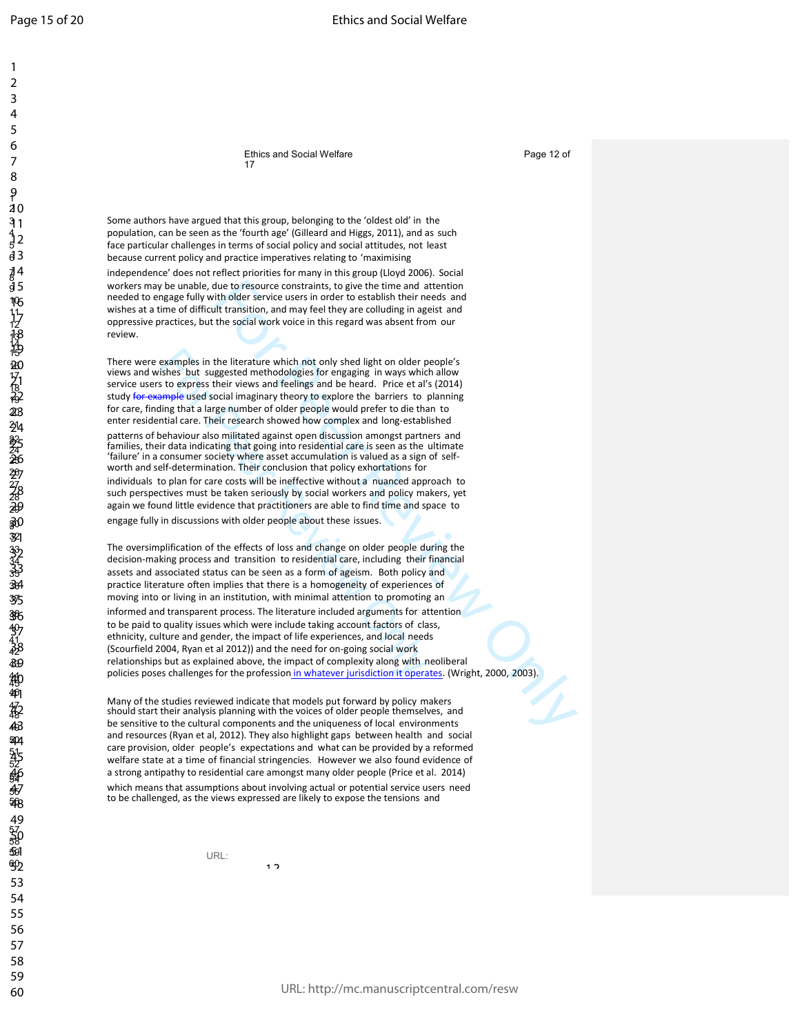Ethics and Social Welfare **Page 12 of** Page 12 of 17

Some authors have argued that this group, belonging to the 'oldest old' in the population, can be seen as the 'fourth age' (Gilleard and Higgs, 2011), and as such face particular challenges in terms of social policy and social attitudes, not least 6 because current policy and practice imperatives relating to 'maximising independence' does not reflect priorities for many in this group (Lloyd 2006). Social workers may be unable, due to resource constraints, to give the time and attention needed to engage fully with older service users in order to establish their needs and wishes at a time of difficult transition, and may feel they are colluding in ageist and oppressive practices, but the social work voice in this regard was absent from our review.

There were examples in the literature which not only shed light on older people's views and wishes but suggested methodologies for engaging in ways which allow service users to express their views and feelings and be heard. Price et al's (2014) study for example used social imaginary theory to explore the barriers to planning for care, finding that a large number of older people would prefer to die than to enter residential care. Their research showed how complex and long-established

patterns of behaviour also militated against open discussion amongst partners and families, their data indicating that going into residential care is seen as the ultimate 25 'failure' in a consumer society where asset accumulation is valued as a sign of selfworth and self-determination. Their conclusion that policy exhortations for individuals to plan for care costs will be ineffective without a nuanced approach to such perspectives must be taken seriously by social workers and policy makers, yet again we found little evidence that practitioners are able to find time and space to

engage fully in discussions with older people about these issues.

the to resource constraints, to give the time and attention<br>tito doler service users in order to establish their needs and<br>it transition, and may feel they are colluding in ageist and<br>the social work voice in this regard w The oversimplification of the effects of loss and change on older people during the decision-making process and transition to residential care, including their financial assets and associated status can be seen as a form of ageism. Both policy and practice literature often implies that there is a homogeneity of experiences of moving into or living in an institution, with minimal attention to promoting an informed and transparent process. The literature included arguments for attention to be paid to quality issues which were include taking account factors of class, ethnicity, culture and gender, the impact of life experiences, and local needs (Scourfield 2004, Ryan et al 2012)) and the need for on-going social work relationships but as explained above, the impact of complexity along with neoliberal policies poses challenges for the profession in whatever jurisdiction it operates. (Wright, 2000, 2003).

Many of the studies reviewed indicate that models put forward by policy makers should start their analysis planning with the voices of older people themselves, and be sensitive to the cultural components and the uniqueness of local environments and resources (Ryan et al, 2012). They also highlight gaps between health and social care provision, older people's expectations and what can be provided by a reformed welfare state at a time of financial stringencies. However we also found evidence of a strong antipathy to residential care amongst many older people (Price et al. 2014)

which means that assumptions about involving actual or potential service users need to be challenged, as the views expressed are likely to expose the tensions and

1 ว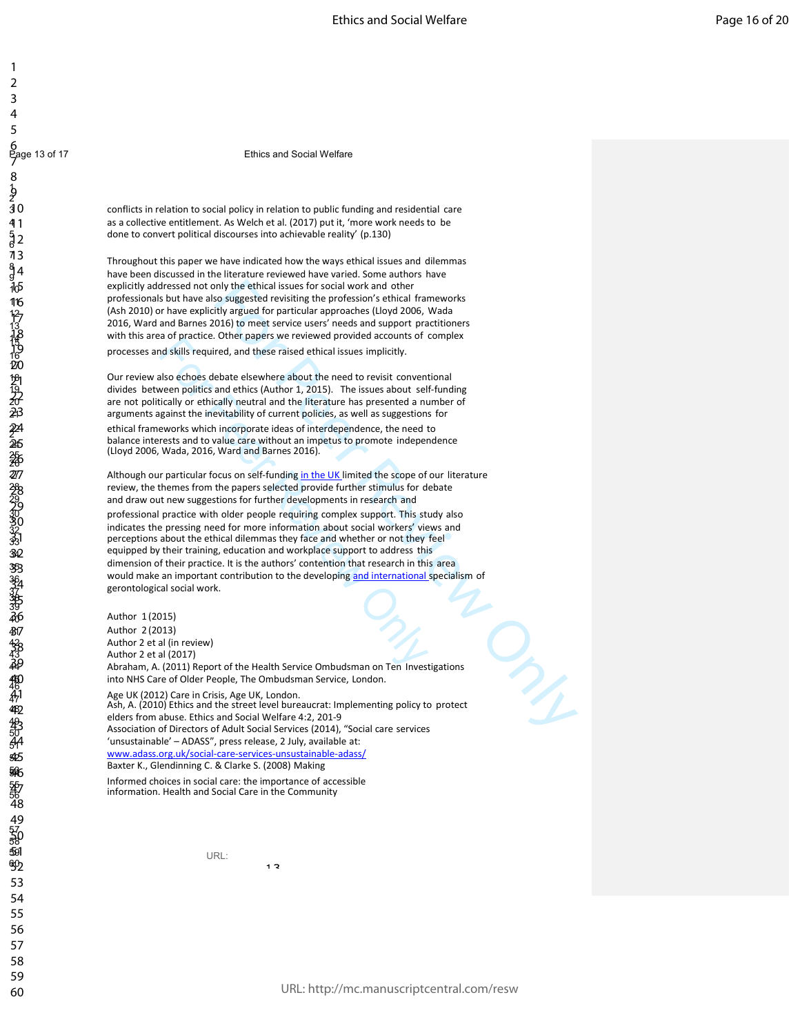1  $\overline{2}$ 3  $\overline{4}$ 5

6<br>Page 13 of 17 **Ethics and Social Welfare**<br>
2

conflicts in relation to social policy in relation to public funding and residential care as a collective entitlement. As Welch et al. (2017) put it, 'more work needs to be done to convert political discourses into achievable reality' (p.130)

<sup>7</sup>Throughout this paper we have indicated how the ways ethical issues and dilemmas have been discussed in the literature reviewed have varied. Some authors have explicitly addressed not only the ethical issues for social work and other professionals but have also suggested revisiting the profession's ethical frameworks (Ash 2010) or have explicitly argued for particular approaches (Lloyd 2006, Wada 2016, Ward and Barnes 2016) to meet service users' needs and support practitioners with this area of practice. Other papers we reviewed provided accounts of complex processes and skills required, and these raised ethical issues implicitly.

Our review also echoes debate elsewhere about the need to revisit conventional divides between politics and ethics (Author 1, 2015). The issues about self-funding are not politically or ethically neutral and the literature has presented a number of arguments against the inevitability of current policies, as well as suggestions for ethical frameworks which incorporate ideas of interdependence, the need to balance interests and to value care without an impetus to promote independence <sup>25</sup>(Lloyd 2006, Wada, 2016, Ward and Barnes 2016).

inly the ethical issues for social work and other<br>only the ethical issues of sosingested revisting the profession's ethical frameworks<br>itly argued for particular approaches (Lloyd 2006, Wada<br>O16) to meet service users' nee Although our particular focus on self-funding in the UK limited the scope of our literature review, the themes from the papers selected provide further stimulus for debate and draw out new suggestions for further developments in research and professional practice with older people requiring complex support. This study also indicates the pressing need for more information about social workers' views and perceptions about the ethical dilemmas they face and whether or not they feel equipped by their training, education and workplace support to address this dimension of their practice. It is the authors' contention that research in this area would make an important contribution to the developing and international specialism of gerontological social work.

Author 1 (2015) Author 2 (2013) Author 2 et al (in review) Author 2 et al (2017) Abraham, A. (2011) Report of the Health Service Ombudsman on Ten Investigations into NHS Care of Older People, The Ombudsman Service, London. Age UK (2012) Care in Crisis, Age UK, London. Ash, A. (2010) Ethics and the street level bureaucrat: Implementing policy to protect elders from abuse. Ethics and Social Welfare 4:2, 201-9 Association of Directors of Adult Social Services (2014), "Social care services 'unsustainable' – ADASS", press release, 2 July, available at: www.adass.org.uk/social-care-services-unsustainable-adass/

 $1<sub>2</sub>$ 

Baxter K., Glendinning C. & Clarke S. (2008) Making

Informed choices in social care: the importance of accessible information. Health and Social Care in the Community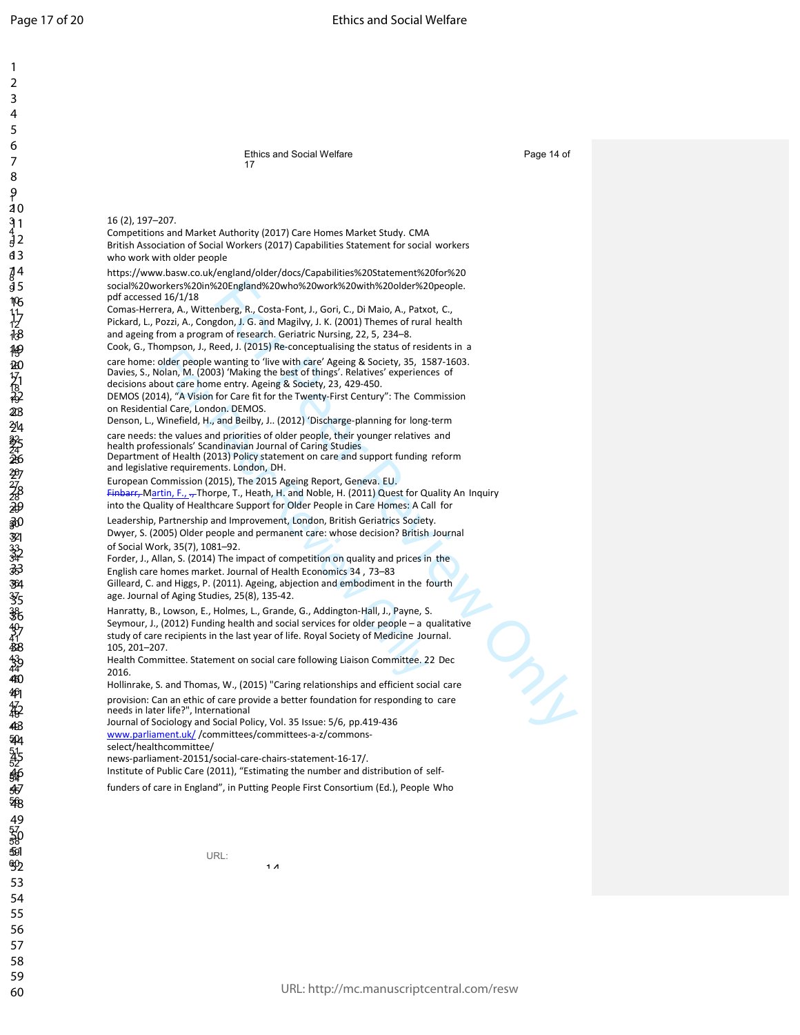620England%20who%20work%20with%20older%20people.<br>
nberg, R., Costa-Font, J., Gori, C, Di Maio, A., Patxot, C.,<br>
oheng, R., Costa-Font, J., K. (2001) Themes of rural health<br>
m of research. Geriatric Nursing, 22, 5, 234–8.<br> Ethics and Social Welfare **Page 14 of** Page 14 of 17 3 16 (2), 197–207. 4 Competitions and Market Authority (2017) Care Homes Market Study. CMA 5 British Association of Social Workers (2017) Capabilities Statement for social workers who work with older people 7 https://www.basw.co.uk/england/older/docs/Capabilities%20Statement%20for%20 9 social%20workers%20in%20England%20who%20work%20with%20older%20people. pdf accessed 16/1/18 Comas-Herrera, A., Wittenberg, R., Costa-Font, J., Gori, C., Di Maio, A., Patxot, C., Pickard, L., Pozzi, A., Congdon, J. G. and Magilvy, J. K. (2001) Themes of rural health and ageing from a program of research. Geriatric Nursing, 22, 5, 234–8. Cook, G., Thompson, J., Reed, J. (2015) Re-conceptualising the status of residents in a care home: older people wanting to 'live with care' Ageing & Society, 35, 1587-1603. Davies, S., Nolan, M. (2003) 'Making the best of things'. Relatives' experiences of decisions about care home entry. Ageing & Society, 23, 429-450. DEMOS (2014), "A Vision for Care fit for the Twenty-First Century": The Commission on Residential Care, London. DEMOS. Denson, L., Winefield, H., and Beilby, J.. (2012) 'Discharge-planning for long-term care needs: the values and priorities of older people, their younger relatives and health professionals' Scandinavian Journal of Caring Studies Department of Health (2013) Policy statement on care and support funding reform and legislative requirements. London, DH. European Commission (2015), The 2015 Ageing Report, Geneva. EU.  $\frac{28}{25}$  Finbarr, Martin, F., ., Thorpe, T., Heath, H. and Noble, H. (2011) Quest for Quality An Inquiry into the Quality of Healthcare Support for Older People in Care Homes: A Call for Leadership, Partnership and Improvement, London, British Geriatrics Society. Dwyer, S. (2005) Older people and permanent care: whose decision? British Journal of Social Work, 35(7), 1081-92. Forder, J., Allan, S. (2014) The impact of competition on quality and prices in the 35 English care homes market. Journal of Health Economics 34 , 73–83 Gilleard, C. and Higgs, P. (2011). Ageing, abjection and embodiment in the fourth age. Journal of Aging Studies, 25(8), 135-42. Hanratty, B., Lowson, E., Holmes, L., Grande, G., Addington-Hall, J., Payne, S. Seymour, J., (2012) Funding health and social services for older people - a qualitative study of care recipients in the last year of life. Royal Society of Medicine Journal. 42 105, 201–207. 43 Health Committee. Statement on social care following Liaison Committee. 22 Dec  $\frac{44}{10}$  2016. <sup>45</sup>Hollinrake, S. and Thomas, W., (2015) "Caring relationships and efficient social care provision: Can an ethic of care provide a better foundation for responding to care needs in later life?", International Journal of Sociology and Social Policy, Vol. 35 Issue: 5/6, pp.419-436 www.parliament.uk//committees/committees-a-z/commonsselect/healthcommittee/ news-parliament-20151/social-care-chairs-statement-16-17/. Institute of Public Care (2011), "Estimating the number and distribution of selffunders of care in England", in Putting People First Consortium (Ed.), People Who

URL:

 $1<sub>A</sub>$ 

57

54

56

46

8233139

15 19

9 2 10

123456789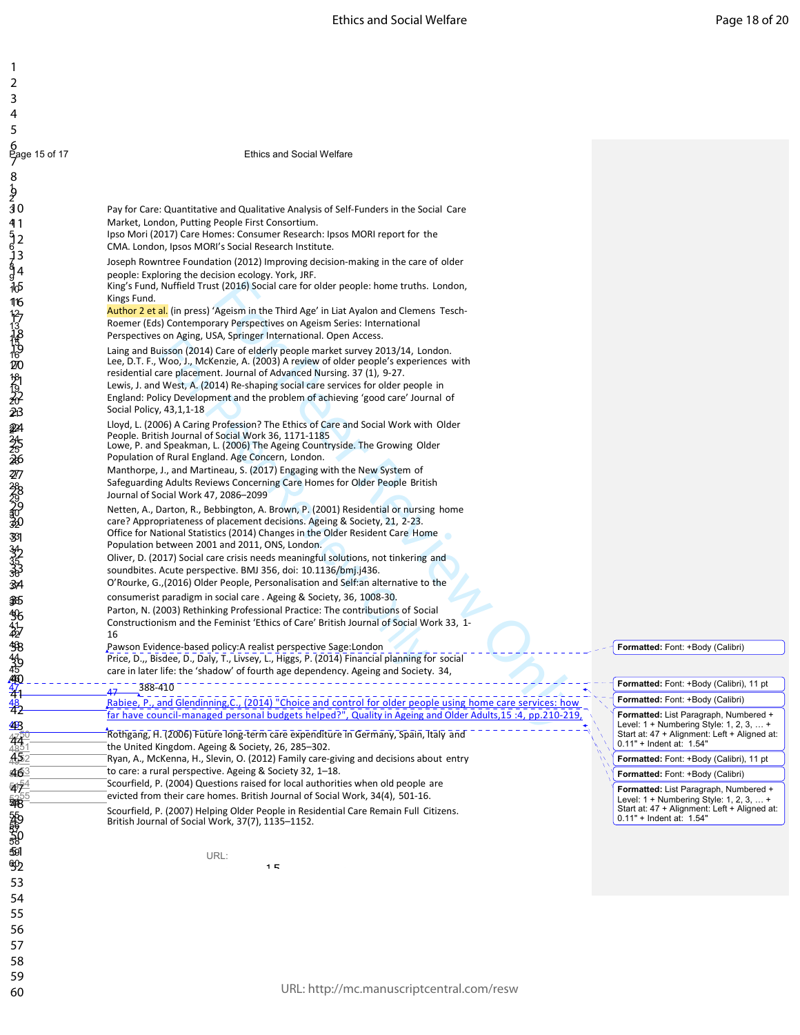| 6<br>Page 15 of 17            | <b>Ethics and Social Welfare</b>                                                                                                                                     |                                                                                           |
|-------------------------------|----------------------------------------------------------------------------------------------------------------------------------------------------------------------|-------------------------------------------------------------------------------------------|
| 8                             |                                                                                                                                                                      |                                                                                           |
| þ                             |                                                                                                                                                                      |                                                                                           |
| 30                            | Pay for Care: Quantitative and Qualitative Analysis of Self-Funders in the Social Care                                                                               |                                                                                           |
|                               | Market, London, Putting People First Consortium.                                                                                                                     |                                                                                           |
| 41                            |                                                                                                                                                                      |                                                                                           |
|                               | Ipso Mori (2017) Care Homes: Consumer Research: Ipsos MORI report for the                                                                                            |                                                                                           |
|                               | CMA. London, Ipsos MORI's Social Research Institute.                                                                                                                 |                                                                                           |
| $52$<br>$163$<br>$94$<br>$94$ | Joseph Rowntree Foundation (2012) Improving decision-making in the care of older                                                                                     |                                                                                           |
|                               | people: Exploring the decision ecology. York, JRF.                                                                                                                   |                                                                                           |
| ĭФ                            | King's Fund, Nuffield Trust (2016) Social care for older people: home truths. London,                                                                                |                                                                                           |
| 116                           | Kings Fund.                                                                                                                                                          |                                                                                           |
|                               | Author 2 et al. (in press) 'Ageism in the Third Age' in Liat Ayalon and Clemens Tesch-                                                                               |                                                                                           |
|                               | Roemer (Eds) Contemporary Perspectives on Ageism Series: International                                                                                               |                                                                                           |
|                               | Perspectives on Aging, USA, Springer International. Open Access.                                                                                                     |                                                                                           |
| やはややめめりみぬ                     | Laing and Buisson (2014) Care of elderly people market survey 2013/14, London.                                                                                       |                                                                                           |
|                               | Lee, D.T. F., Woo, J., McKenzie, A. (2003) A review of older people's experiences with                                                                               |                                                                                           |
|                               | residential care placement. Journal of Advanced Nursing. 37 (1), 9-27.                                                                                               |                                                                                           |
|                               | Lewis, J. and West, A. (2014) Re-shaping social care services for older people in<br>England: Policy Development and the problem of achieving 'good care' Journal of |                                                                                           |
|                               | Social Policy, 43,1,1-18                                                                                                                                             |                                                                                           |
|                               |                                                                                                                                                                      |                                                                                           |
|                               | Lloyd, L. (2006) A Caring Profession? The Ethics of Care and Social Work with Older<br>People. British Journal of Social Work 36, 1171-1185                          |                                                                                           |
|                               | Lowe, P. and Speakman, L. (2006) The Ageing Countryside. The Growing Older                                                                                           |                                                                                           |
| 斜势的                           | Population of Rural England. Age Concern, London.                                                                                                                    |                                                                                           |
|                               | Manthorpe, J., and Martineau, S. (2017) Engaging with the New System of                                                                                              |                                                                                           |
|                               | Safeguarding Adults Reviews Concerning Care Homes for Older People British                                                                                           |                                                                                           |
|                               | Journal of Social Work 47, 2086-2099                                                                                                                                 |                                                                                           |
|                               | Netten, A., Darton, R., Bebbington, A. Brown, P. (2001) Residential or nursing home                                                                                  |                                                                                           |
|                               | care? Appropriateness of placement decisions. Ageing & Society, 21, 2-23.                                                                                            |                                                                                           |
|                               | Office for National Statistics (2014) Changes in the Older Resident Care Home                                                                                        |                                                                                           |
|                               | Population between 2001 and 2011, ONS, London.                                                                                                                       |                                                                                           |
|                               | Oliver, D. (2017) Social care crisis needs meaningful solutions, not tinkering and                                                                                   |                                                                                           |
|                               | soundbites. Acute perspective. BMJ 356, doi: 10.1136/bmj.j436.                                                                                                       |                                                                                           |
| <b>乙酸乳酸 药乳粉科</b>              | O'Rourke, G., (2016) Older People, Personalisation and Self: an alternative to the                                                                                   |                                                                                           |
| \$6                           | consumerist paradigm in social care. Ageing & Society, 36, 1008-30.                                                                                                  |                                                                                           |
|                               | Parton, N. (2003) Rethinking Professional Practice: The contributions of Social                                                                                      |                                                                                           |
|                               | Constructionism and the Feminist 'Ethics of Care' British Journal of Social Work 33, 1-                                                                              |                                                                                           |
|                               | 16                                                                                                                                                                   |                                                                                           |
|                               | Pawson Evidence-based policy: A realist perspective Sage: London                                                                                                     | Formatted: Font: +Body (Calibri)                                                          |
|                               | Price, D.,, Bisdee, D., Daly, T., Livsey, L., Higgs, P. (2014) Financial planning for social                                                                         |                                                                                           |
|                               | care in later life: the 'shadow' of fourth age dependency. Ageing and Society. 34,                                                                                   |                                                                                           |
|                               | 388-410                                                                                                                                                              | Formatted: Font: +Body (Calibri), 11 pt                                                   |
|                               | Rabiee, P., and Glendinning, C., (2014) "Choice and control for older people using home care services: how                                                           | Formatted: Font: +Body (Calibri)                                                          |
|                               | far have council-managed personal budgets helped?". Quality in Ageing and Older Adults, 15:4. pp.210-219.                                                            | Formatted: List Paragraph, Numbered +                                                     |
| <u>40</u> 3                   | Rothgang, H. (2006) Future long-term care expenditure in Germany, Spain, Italy and                                                                                   | Level: $1 +$ Numbering Style: 1, 2, 3,  +<br>Start at: 47 + Alignment: Left + Aligned at: |
|                               | the United Kingdom. Ageing & Society, 26, 285-302.                                                                                                                   | $0.11"$ + Indent at: 1.54"                                                                |
| 14451<br>4521<br>4522         | Ryan, A., McKenna, H., Slevin, O. (2012) Family care-giving and decisions about entry                                                                                | Formatted: Font: +Body (Calibri), 11 pt                                                   |
| 463                           | to care: a rural perspective. Ageing & Society 32, 1-18.                                                                                                             | Formatted: Font: +Body (Calibri)                                                          |
|                               | Scourfield, P. (2004) Questions raised for local authorities when old people are                                                                                     | Formatted: List Paragraph, Numbered +                                                     |
| <b>机能力的的 医子宫</b>              | evicted from their care homes. British Journal of Social Work, 34(4), 501-16.                                                                                        | Level: $1 +$ Numbering Style: 1, 2, 3,  +                                                 |
|                               | Scourfield, P. (2007) Helping Older People in Residential Care Remain Full Citizens.                                                                                 | Start at: 47 + Alignment: Left + Aligned at:                                              |
|                               | British Journal of Social Work, 37(7), 1135-1152.                                                                                                                    | 0.11" + Indent at: 1.54"                                                                  |
|                               |                                                                                                                                                                      |                                                                                           |
|                               | URL:                                                                                                                                                                 |                                                                                           |
| <u>භූ</u>                     | 1 <sub>5</sub>                                                                                                                                                       |                                                                                           |
| 53                            |                                                                                                                                                                      |                                                                                           |
|                               |                                                                                                                                                                      |                                                                                           |

123456P789

 $\mathbf{1}$  $\overline{2}$  $\mathsf{3}$  $\overline{\mathcal{A}}$  $\overline{5}$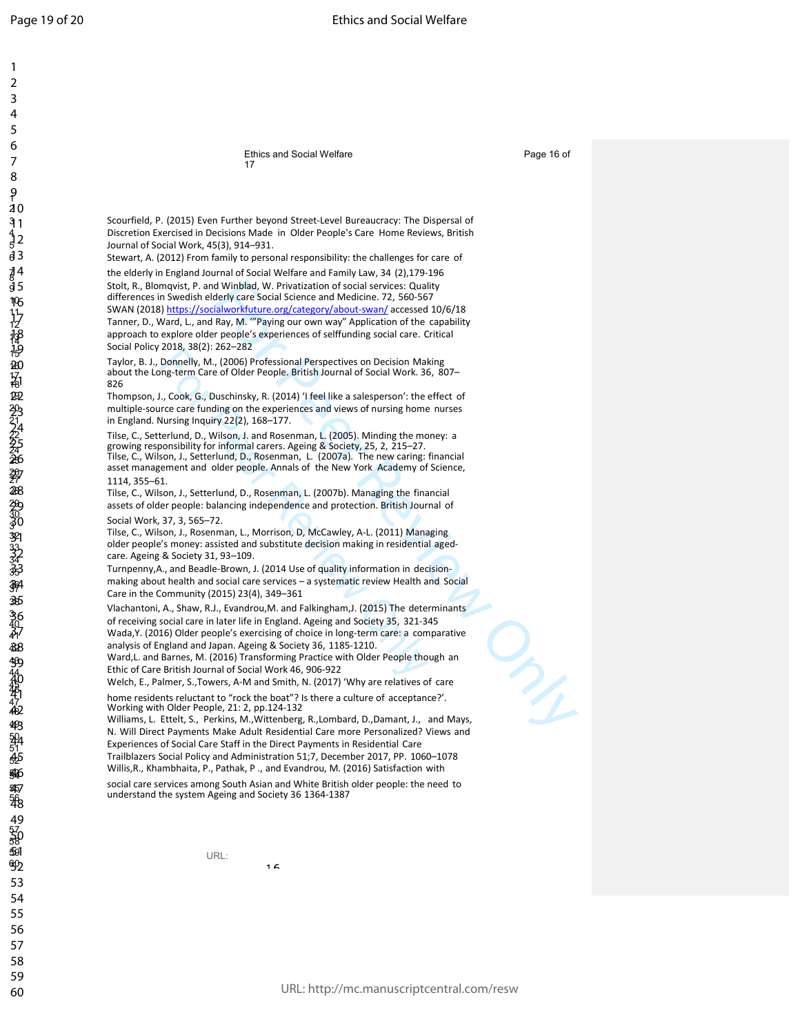123456789

Ethics and Social Welfare **Page 16 of** Page 16 of 17

Scourfield, P. (2015) Even Further beyond Street-Level Bureaucracy: The Dispersal of Discretion Exercised in Decisions Made in Older People's Care Home Reviews, British 5 Journal of Social Work, 45(3), 914–931.

Stewart, A. (2012) From family to personal responsibility: the challenges for care of the elderly in England Journal of Social Welfare and Family Law, 34 (2),179-196 Stolt, R., Blomqvist, P. and Winblad, W. Privatization of social services: Quality differences in Swedish elderly care Social Science and Medicine. 72, 560-567 SWAN (2018) https://socialworkfuture.org/category/about-swan/ accessed 10/6/18 Tanner, D., Ward, L., and Ray, M. ""Paying our own way" Application of the capability approach to explore older people's experiences of selffunding social care. Critical Social Policy 2018, 38(2): 262-282

Taylor, B. J., Donnelly, M., (2006) Professional Perspectives on Decision Making about the Long-term Care of Older People. British Journal of Social Work. 36, 807–<br>826  $\frac{1}{18}$  826

> Thompson, J., Cook, G., Duschinsky, R. (2014) 'I feel like a salesperson': the effect of multiple-source care funding on the experiences and views of nursing home nurses in England. Nursing Inquiry 22(2), 168-177.

> Tilse, C., Setterlund, D., Wilson, J. and Rosenman, L. (2005). Minding the money: a growing responsibility for informal carers. Ageing & Society, 25, 2, 215–27. Tilse, C., Wilson, J., Setterlund, D., Rosenman, L. (2007a). The new caring: financial asset management and older people. Annals of the New York Academy of Science, 27 1114, 355–61.

Tilse, C., Wilson, J., Setterlund, D., Rosenman, L. (2007b). Managing the financial assets of older people: balancing independence and protection. British Journal of Social Work, 37, 3, 565–72.

Tilse, C., Wilson, J., Rosenman, L., Morrison, D, McCawley, A-L. (2011) Managing older people's money: assisted and substitute decision making in residential agedcare. Ageing & Society 31, 93–109.

Turnpenny,A., and Beadle-Brown, J. (2014 Use of quality information in decisionmaking about health and social care services – a systematic review Health and Social Care in the Community (2015) 23(4), 349-361

d Winblad, W. Privatization of social services: Quality<br>derivate Social Science and Medicine. 72, 560-567<br>
<u>lalworkfuture.org/category/about-swan/</u> accessed 10/6/18<br>
lalworkfuture.org/category/about-swan/ accessed 10/6/18<br> Vlachantoni, A., Shaw, R.J., Evandrou,M. and Falkingham,J. (2015) The determinants of receiving social care in later life in England. Ageing and Society 35, 321-345 Wada,Y. (2016) Older people's exercising of choice in long-term care: a comparative analysis of England and Japan. Ageing & Society 36, 1185-1210. Ward, L. and Barnes, M. (2016) Transforming Practice with Older People though an 44 Ethic of Care British Journal of Social Work 46, 906-922

Welch, E., Palmer, S., Towers, A-M and Smith, N. (2017) 'Why are relatives of care home residents reluctant to "rock the boat"? Is there a culture of acceptance?'. <sup>48</sup>Working with Older People, 21: 2, pp.124-132

Williams, L. Ettelt, S., Perkins, M., Wittenberg, R., Lombard, D., Damant, J., and Mays, N. Will Direct Payments Make Adult Residential Care more Personalized? Views and Experiences of Social Care Staff in the Direct Payments in Residential Care <sup>52</sup>Trailblazers Social Policy and Administration 51;7, December 2017, PP. 1060–1078 Willis, R., Khambhaita, P., Pathak, P., and Evandrou, M. (2016) Satisfaction with

social care services among South Asian and White British older people: the need to understand the system Ageing and Society 36 1364-1387

 $1<sub>6</sub>$